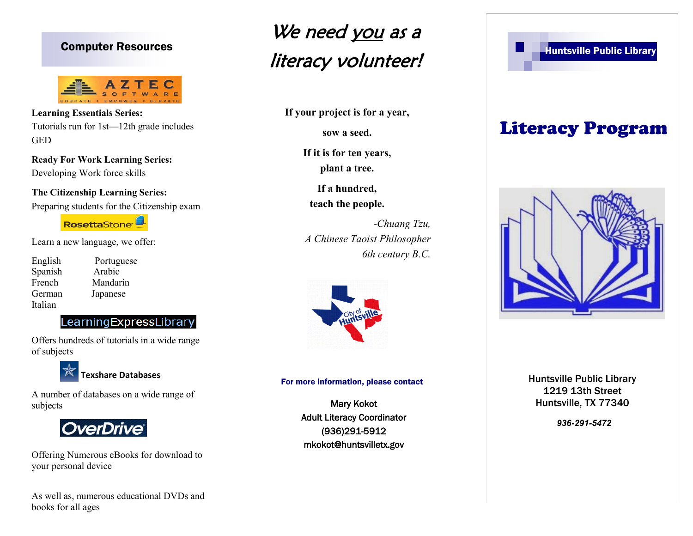

**Learning Essentials Series:**  Tutorials run for 1st—12th grade includes GED

**Ready For Work Learning Series:** Developing Work force skills

**The Citizenship Learning Series:** Preparing students for the Citizenship exam

RosettaStone<sup>1</sup>

Learn a new language, we offer:

English Portuguese Spanish Arabic French Mandarin German Japanese Italian

## LearningExpressLibrary

Offers hundreds of tutorials in a wide range of subjects



A number of databases on a wide range of subjects



Offering Numerous eBooks for download to your personal device

As well as, numerous educational DVDs and books for all ages

## Computer Resources **Exercise Section 2008** and 2009 and 2009 and 2009 and 2009 and 2009 and 2009 and 2009 and 2009 and 2009 and 2009 and 2009 and 2009 and 2009 and 2009 and 2009 and 2009 and 2009 and 2009 and 2009 and 2009 We need you as a literacy volunteer!

**If your project is for a year,** 

**sow a seed.**

**If it is for ten years, plant a tree.**

**If a hundred, teach the people.**

*-Chuang Tzu, A Chinese Taoist Philosopher 6th century B.C.*



#### For more information, please contact

Mary Kokot Adult Literacy Coordinator (936)291-5912 mkokot@huntsvilletx.gov

# Literacy Program



Huntsville Public Library 1219 13th Street Huntsville, TX 77340

*936-291-5472*